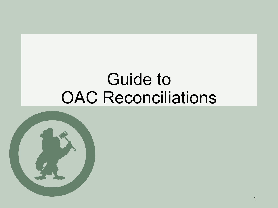### Guide to OAC Reconciliations

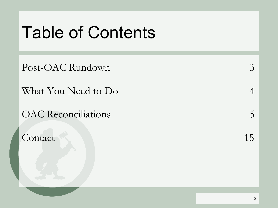### Table of Contents

Post-OAC Rundown 3

What You Need to Do 4

OAC Reconciliations 5

Contact 15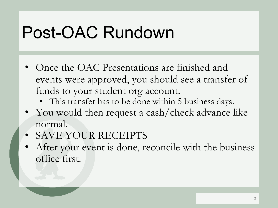## Post-OAC Rundown

- Once the OAC Presentations are finished and events were approved, you should see a transfer of funds to your student org account.
	- This transfer has to be done within 5 business days.
- You would then request a cash/check advance like normal.
- SAVE YOUR RECEIPTS
- After your event is done, reconcile with the business office first.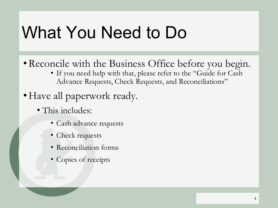### What You Need to Do

- •Reconcile with the Business Office before you begin.
	- If you need help with that, please refer to the "Guide for Cash Advance Requests, Check Requests, and Reconciliations"
- Have all paperwork ready.
	- This includes:
		- Cash advance requests
		- Check requests
		- Reconciliation forms
		- Copies of receipts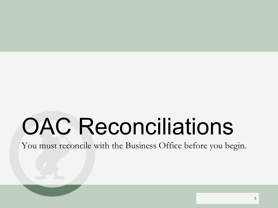# OAC Reconciliations

You must reconcile with the Business Office before you begin.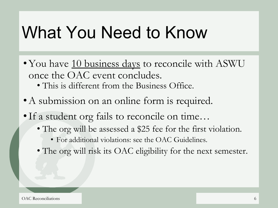### What You Need to Know

- You have 10 business days to reconcile with ASWU once the OAC event concludes.
	- This is different from the Business Office.
- A submission on an online form is required.
- •If a student org fails to reconcile on time…
	- The org will be assessed a \$25 fee for the first violation.
		- For additional violations: see the OAC Guidelines.
	- The org will risk its OAC eligibility for the next semester.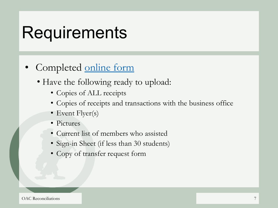### **Requirements**

- Completed [online form](https://goo.gl/forms/Ie7CW4tBs16FuJJ83)
	- Have the following ready to upload:
		- Copies of ALL receipts
		- Copies of receipts and transactions with the business office
		- Event Flyer(s)
		- Pictures
		- Current list of members who assisted
		- Sign-in Sheet (if less than 30 students)
		- Copy of transfer request form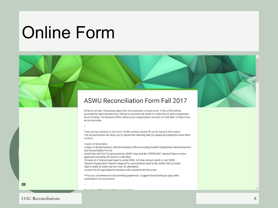### Online Form

#### **ASWU Reconciliation Form Fall 2017**

All items are due 10 business days after the conclusion of each event. A fine of \$25 will be accessed for each missing item. Failure to reconcile will result in a reduction of and/or jeopardize future funding. The Business Office will put your organization's account on hold after 10 days if you do not reconcile.

There are two sections to this form. On this section, please fill out all required information. The second section will allow you to upload the following files (so please be prepared to have them on you!):

-Copies of all receipts

-Copies of all transactions with the Business Office (including Student Organization Reimbursement and Reconciliation Forms) -Event flyer with the "Co-sponsored by ASWU" logo and the "APPROVED" stamp (Failure to have

approved marketing will result in a \$25 fine)

-Pictures (3 if total amount spent is under \$500, 5 if total amount spent is over \$500) -Student Organization Transfer Request for unused funds back to the ASWU-OAC account -Sign in sheet (if event had less than 30 attendees)

-Current list of organization's members who assisted with the event

\*\*For your convenience in documenting paperwork, I suggest downloading an app called CamScanner for your phone!

If you hous additional quastions plases amail

Œ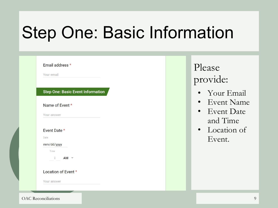## Step One: Basic Information

| Email address *<br>Your email                                                                                                                                                              | Please<br>provide:                                                                          |
|--------------------------------------------------------------------------------------------------------------------------------------------------------------------------------------------|---------------------------------------------------------------------------------------------|
| <b>Step One: Basic Event Information</b><br>Name of Event *<br>Your answer<br>Event Date *<br>Date<br>mm/dd/yyyy<br>Time<br>$\ddot{\cdot}$<br>$AM =$<br>Location of Event *<br>Your answer | • Your Email<br>• Event Name<br>$\bullet$ Event Date<br>and Time<br>• Location of<br>Event. |

OAC Reconciliations 9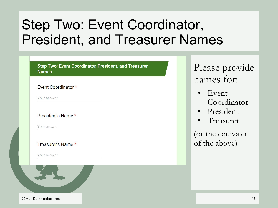### Step Two: Event Coordinator, President, and Treasurer Names

#### **Step Two: Event Coordinator, President, and Treasurer Names**

#### Event Coordinator \*

Your answer

#### President's Name \*

Your answer

#### Treasurer's Name \*

Your answer



#### OAC Reconciliations and the contract of the contract of the contract of the contract of the contract of the contract of the contract of the contract of the contract of the contract of the contract of the contract of the co

### Please provide names for:

- Event Coordinator
- **President**
- **Treasurer**

(or the equivalent of the above)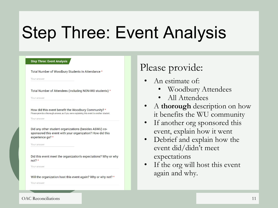## Step Three: Event Analysis

#### **Step Three: Event Analysis**

Total Number of Woodbury Students in Attendance \*

Your answer

Total Number of Attendees (including NON-WU students) \*

Your answer

How did this event benefit the Woodbury Community? \* Please provide a thorough answer, as if you were explaining this event to another student

**Your answer** 

Did any other student organizations (besides ASWU) cosponsored this event with your organization? How did this experience go? \*

Your answer

Did this event meet the organization's expectations? Why or why  $not? *$ 

Your answer

Will the organization host this event again? Why or why not? \*

Your answer

### Please provide:

- An estimate of:
	- Woodbury Attendees
	- All Attendees
- A **thorough** description on how it benefits the WU community
- If another org sponsored this event, explain how it went
- Debrief and explain how the event did/didn't meet expectations
- If the org will host this event again and why.

#### OAC Reconciliations 11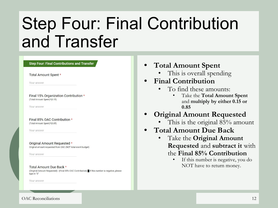### Step Four: Final Contribution and Transfer

| <b>Step Four: Final Contributions and Transfer</b>                                         |  |
|--------------------------------------------------------------------------------------------|--|
| Total Amount Spent *                                                                       |  |
| Your answer                                                                                |  |
| Final 15% Organization Contribution *<br>(Total Amount Spent)*(0.15)                       |  |
| Your answer                                                                                |  |
|                                                                                            |  |
| Final 85% OAC Contribution *<br>(Total Amount Spent)*(0.85)                                |  |
| Your answer                                                                                |  |
| Original Amount Requested *<br>Original amount requested from OAC (NOT total event budget) |  |

- **• Total Amount Spent**
	- This is overall spending
- **• Final Contribution**
	- To find these amounts:
		- Take the **Total Amount Spent** and **multiply by either 0.15 or 0.85**

#### **• Original Amount Requested**

- This is the original 85% amount
- **• Total Amount Due Back**
	- Take the **Original Amount Requested** and **subtract it** with the **Final 85% Contribution**
		- If this number is negative, you do NOT have to return money.

#### OAC Reconciliations 22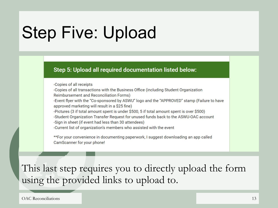## Step Five: Upload

#### Step 5: Upload all required documentation listed below:

-Copies of all receipts

-Copies of all transactions with the Business Office (including Student Organization Reimbursement and Reconciliation Forms)

-Event flyer with the "Co-sponsored by ASWU" logo and the "APPROVED" stamp (Failure to have approved marketing will result in a \$25 fine)

-Pictures (3 if total amount spent is under \$500, 5 if total amount spent is over \$500)

-Student Organization Transfer Request for unused funds back to the ASWU-OAC account -Sign in sheet (if event had less than 30 attendees)

-Current list of organization's members who assisted with the event

\*\*For your convenience in documenting paperwork, I suggest downloading an app called CamScanner for your phone!

This last step requires you to directly upload the form using the provided links to upload to.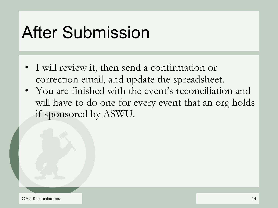### After Submission

- I will review it, then send a confirmation or correction email, and update the spreadsheet.
- You are finished with the event's reconciliation and will have to do one for every event that an org holds if sponsored by ASWU.